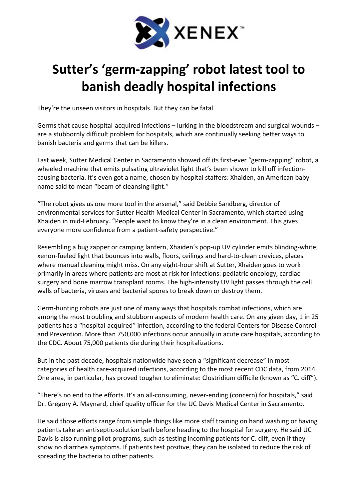

## Sutter's 'germ-zapping' robot latest tool to banish deadly hospital infections

They're the unseen visitors in hospitals. But they can be fatal.

Germs that cause hospital-acquired infections – lurking in the bloodstream and surgical wounds – are a stubbornly difficult problem for hospitals, which are continually seeking better ways to banish bacteria and germs that can be killers.

Last week, Sutter Medical Center in Sacramento showed off its first-ever "germ-zapping" robot, a wheeled machine that emits pulsating ultraviolet light that's been shown to kill off infectioncausing bacteria. It's even got a name, chosen by hospital staffers: Xhaiden, an American baby name said to mean "beam of cleansing light."

"The robot gives us one more tool in the arsenal," said Debbie Sandberg, director of environmental services for Sutter Health Medical Center in Sacramento, which started using Xhaiden in mid-February. "People want to know they're in a clean environment. This gives everyone more confidence from a patient-safety perspective."

Resembling a bug zapper or camping lantern, Xhaiden's pop-up UV cylinder emits blinding-white, xenon-fueled light that bounces into walls, floors, ceilings and hard-to-clean crevices, places where manual cleaning might miss. On any eight-hour shift at Sutter, Xhaiden goes to work primarily in areas where patients are most at risk for infections: pediatric oncology, cardiac surgery and bone marrow transplant rooms. The high-intensity UV light passes through the cell walls of bacteria, viruses and bacterial spores to break down or destroy them.

Germ-hunting robots are just one of many ways that hospitals combat infections, which are among the most troubling and stubborn aspects of modern health care. On any given day, 1 in 25 patients has a "hospital-acquired" infection, according to the federal Centers for Disease Control and Prevention. More than 750,000 infections occur annually in acute care hospitals, according to the CDC. About 75,000 patients die during their hospitalizations.

But in the past decade, hospitals nationwide have seen a "significant decrease" in most categories of health care-acquired infections, according to the most recent CDC data, from 2014. One area, in particular, has proved tougher to eliminate: Clostridium difficile (known as "C. diff").

"There's no end to the efforts. It's an all-consuming, never-ending (concern) for hospitals," said Dr. Gregory A. Maynard, chief quality officer for the UC Davis Medical Center in Sacramento.

He said those efforts range from simple things like more staff training on hand washing or having patients take an antiseptic-solution bath before heading to the hospital for surgery. He said UC Davis is also running pilot programs, such as testing incoming patients for C. diff, even if they show no diarrhea symptoms. If patients test positive, they can be isolated to reduce the risk of spreading the bacteria to other patients.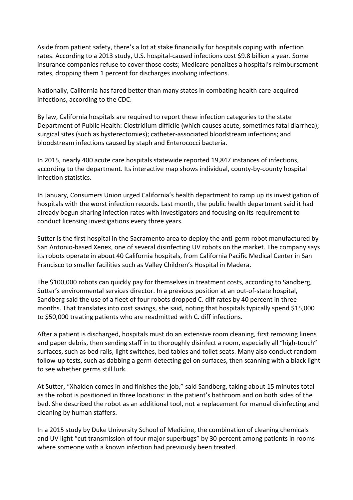Aside from patient safety, there's a lot at stake financially for hospitals coping with infection rates. According to a 2013 study, U.S. hospital-caused infections cost \$9.8 billion a year. Some insurance companies refuse to cover those costs; Medicare penalizes a hospital's reimbursement rates, dropping them 1 percent for discharges involving infections.

Nationally, California has fared better than many states in combating health care-acquired infections, according to the CDC.

By law, California hospitals are required to report these infection categories to the state Department of Public Health: Clostridium difficile (which causes acute, sometimes fatal diarrhea); surgical sites (such as hysterectomies); catheter-associated bloodstream infections; and bloodstream infections caused by staph and Enterococci bacteria.

In 2015, nearly 400 acute care hospitals statewide reported 19,847 instances of infections, according to the department. Its interactive map shows individual, county-by-county hospital infection statistics.

In January, Consumers Union urged California's health department to ramp up its investigation of hospitals with the worst infection records. Last month, the public health department said it had already begun sharing infection rates with investigators and focusing on its requirement to conduct licensing investigations every three years.

Sutter is the first hospital in the Sacramento area to deploy the anti-germ robot manufactured by San Antonio-based Xenex, one of several disinfecting UV robots on the market. The company says its robots operate in about 40 California hospitals, from California Pacific Medical Center in San Francisco to smaller facilities such as Valley Children's Hospital in Madera.

The \$100,000 robots can quickly pay for themselves in treatment costs, according to Sandberg, Sutter's environmental services director. In a previous position at an out-of-state hospital, Sandberg said the use of a fleet of four robots dropped C. diff rates by 40 percent in three months. That translates into cost savings, she said, noting that hospitals typically spend \$15,000 to \$50,000 treating patients who are readmitted with C. diff infections.

After a patient is discharged, hospitals must do an extensive room cleaning, first removing linens and paper debris, then sending staff in to thoroughly disinfect a room, especially all "high-touch" surfaces, such as bed rails, light switches, bed tables and toilet seats. Many also conduct random follow-up tests, such as dabbing a germ-detecting gel on surfaces, then scanning with a black light to see whether germs still lurk.

At Sutter, "Xhaiden comes in and finishes the job," said Sandberg, taking about 15 minutes total as the robot is positioned in three locations: in the patient's bathroom and on both sides of the bed. She described the robot as an additional tool, not a replacement for manual disinfecting and cleaning by human staffers.

In a 2015 study by Duke University School of Medicine, the combination of cleaning chemicals and UV light "cut transmission of four major superbugs" by 30 percent among patients in rooms where someone with a known infection had previously been treated.